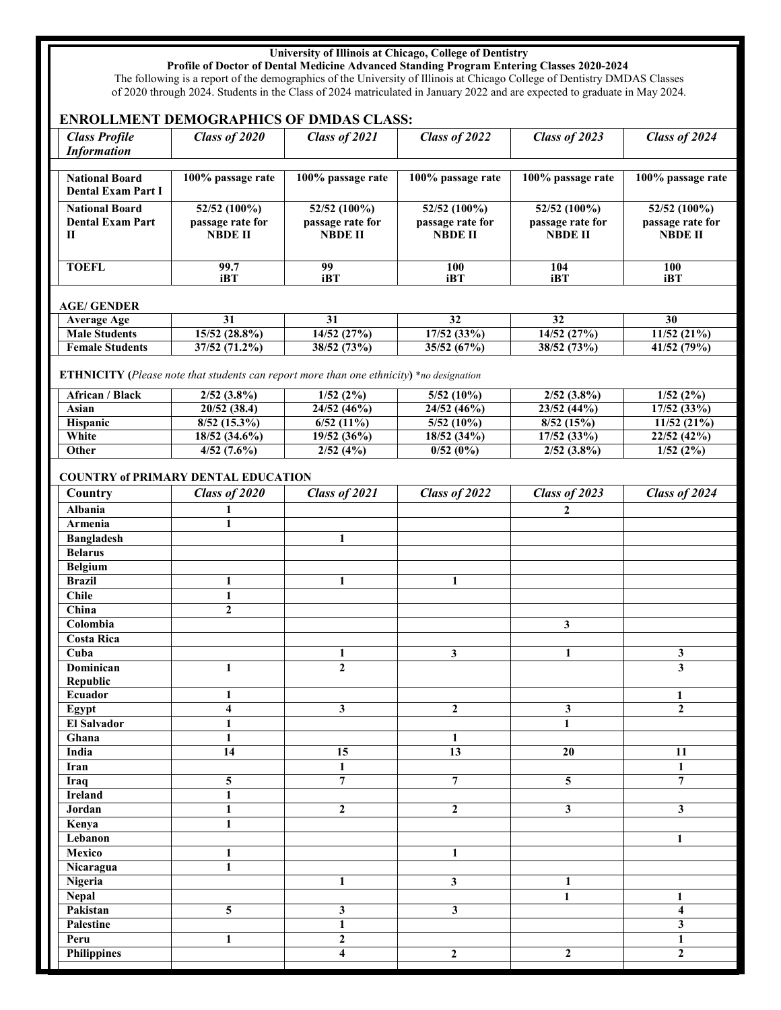## **University of Illinois at Chicago, College of Dentistry**

**Profile of Doctor of Dental Medicine Advanced Standing Program Entering Classes 2020-2024**

The following is a report of the demographics of the University of Illinois at Chicago College of Dentistry DMDAS Classes of 2020 through 2024. Students in the Class of 2024 matriculated in January 2022 and are expected to graduate in May 2024.

## **ENROLLMENT DEMOGRAPHICS OF DMDAS CLASS:**

| <b>Class Profile</b>                       | Class of 2020                                                                            | Class of 2021     | Class of 2022     | Class of 2023            | Class of 2024     |  |
|--------------------------------------------|------------------------------------------------------------------------------------------|-------------------|-------------------|--------------------------|-------------------|--|
| <b>Information</b>                         |                                                                                          |                   |                   |                          |                   |  |
|                                            |                                                                                          |                   |                   |                          |                   |  |
| <b>National Board</b>                      | 100% passage rate                                                                        | 100% passage rate | 100% passage rate | 100% passage rate        | 100% passage rate |  |
| <b>Dental Exam Part I</b>                  |                                                                                          |                   |                   |                          |                   |  |
| <b>National Board</b>                      | 52/52 (100%)                                                                             | 52/52 (100%)      | 52/52 (100%)      | 52/52 (100%)             | 52/52 (100%)      |  |
| <b>Dental Exam Part</b>                    | passage rate for                                                                         | passage rate for  | passage rate for  | passage rate for         | passage rate for  |  |
| П                                          | <b>NBDE II</b>                                                                           | <b>NBDE II</b>    | <b>NBDE II</b>    | <b>NBDE II</b>           | <b>NBDE II</b>    |  |
|                                            |                                                                                          |                   |                   |                          |                   |  |
| <b>TOEFL</b>                               | 99.7                                                                                     | 99                | 100               | 104                      | 100               |  |
|                                            | <b>iBT</b>                                                                               | iBT               | iBT               | iBT                      | iBT               |  |
|                                            |                                                                                          |                   |                   |                          |                   |  |
| <b>AGE/GENDER</b>                          |                                                                                          |                   |                   |                          |                   |  |
| <b>Average Age</b>                         | 31                                                                                       | 31                | 32                | 32                       | 30                |  |
| <b>Male Students</b>                       | 15/52 (28.8%)                                                                            | 14/52 (27%)       | $17/52$ (33%)     | $\overline{14/52}$ (27%) | 11/52(21%)        |  |
| <b>Female Students</b>                     | 37/52(71.2%)                                                                             | 38/52 (73%)       | 35/52(67%)        | 38/52 (73%)              | 41/52 (79%)       |  |
|                                            |                                                                                          |                   |                   |                          |                   |  |
|                                            | ETHNICITY (Please note that students can report more than one ethnicity) *no designation |                   |                   |                          |                   |  |
| African / Black                            | $2/52$ $(3.8\%)$                                                                         | $1/52(2\%)$       | 5/52(10%)         | $2/52$ $(3.8\%)$         | 1/52(2%)          |  |
| Asian                                      | 20/52 (38.4)                                                                             | 24/52(46%)        | 24/52 (46%)       | 23/52 (44%)              | $17/52$ (33%)     |  |
| Hispanic                                   | $8/52$ (15.3%)                                                                           | $6/52(11\%)$      | $5/52(10\%)$      | 8/52(15%)                | 11/52(21%)        |  |
| White                                      | 18/52 (34.6%)                                                                            | 19/52(36%)        | 18/52 (34%)       | 17/52(33%)               | 22/52 (42%)       |  |
| Other                                      | 4/52(7.6%)                                                                               | 2/52(4%)          | 0/52(0%)          | $2/52$ $(3.8\%)$         | 1/52(2%)          |  |
|                                            |                                                                                          |                   |                   |                          |                   |  |
| <b>COUNTRY of PRIMARY DENTAL EDUCATION</b> |                                                                                          |                   |                   |                          |                   |  |
| Country                                    | Class of 2020                                                                            | Class of 2021     | Class of 2022     | Class of 2023            | Class of 2024     |  |
| <b>Albania</b>                             |                                                                                          |                   |                   | 2                        |                   |  |
| Armenia                                    |                                                                                          |                   |                   |                          |                   |  |

| Country            | Class of 2020           | Class of 2021           | Class of 2022    | Class of 2023           | Class of 2024           |
|--------------------|-------------------------|-------------------------|------------------|-------------------------|-------------------------|
| <b>Albania</b>     |                         |                         |                  | $\overline{2}$          |                         |
| Armenia            | 1                       |                         |                  |                         |                         |
| <b>Bangladesh</b>  |                         | $\mathbf{1}$            |                  |                         |                         |
| <b>Belarus</b>     |                         |                         |                  |                         |                         |
| <b>Belgium</b>     |                         |                         |                  |                         |                         |
| <b>Brazil</b>      | $\mathbf{1}$            | $\mathbf{1}$            | $\mathbf{1}$     |                         |                         |
| <b>Chile</b>       | $\mathbf{1}$            |                         |                  |                         |                         |
| China              | $\mathbf{2}$            |                         |                  |                         |                         |
| Colombia           |                         |                         |                  | $\mathbf{3}$            |                         |
| <b>Costa Rica</b>  |                         |                         |                  |                         |                         |
| Cuba               |                         | 1                       | 3                | $\mathbf{1}$            | $\mathbf{3}$            |
| <b>Dominican</b>   | $\mathbf{1}$            | $\overline{2}$          |                  |                         | $\overline{\mathbf{3}}$ |
| Republic           |                         |                         |                  |                         |                         |
| Ecuador            | $\mathbf{1}$            |                         |                  |                         | 1                       |
| Egypt              | $\overline{\mathbf{4}}$ | $\overline{\mathbf{3}}$ | $\mathbf{2}$     | $\overline{\mathbf{3}}$ | $\overline{2}$          |
| <b>El Salvador</b> | 1                       |                         |                  | $\mathbf{1}$            |                         |
| Ghana              | $\mathbf{1}$            |                         | $\mathbf{1}$     |                         |                         |
| India              | 14                      | 15                      | $\overline{13}$  | 20                      | $\overline{11}$         |
| Iran               |                         | $\mathbf{1}$            |                  |                         | $\mathbf{1}$            |
| Iraq               | $\overline{\mathbf{5}}$ | $\overline{7}$          | $\overline{7}$   | 5                       | $\overline{7}$          |
| <b>Ireland</b>     | $\mathbf{1}$            |                         |                  |                         |                         |
| Jordan             | $\mathbf{1}$            | $\boldsymbol{2}$        | $\boldsymbol{2}$ | $\overline{\mathbf{3}}$ | $\overline{\mathbf{3}}$ |
| Kenya              | $\mathbf{1}$            |                         |                  |                         |                         |
| Lebanon            |                         |                         |                  |                         | $\mathbf{1}$            |
| Mexico             | 1                       |                         | $\mathbf{1}$     |                         |                         |
| Nicaragua          | $\mathbf{1}$            |                         |                  |                         |                         |
| Nigeria            |                         | $\mathbf{1}$            | 3                | 1                       |                         |
| <b>Nepal</b>       |                         |                         |                  | $\mathbf{1}$            | 1                       |
| Pakistan           | 5                       | 3                       | $\mathbf{3}$     |                         | $\overline{4}$          |
| Palestine          |                         | $\mathbf{1}$            |                  |                         | $\mathbf{3}$            |
| Peru               | 1                       | $\mathbf 2$             |                  |                         | $\mathbf{1}$            |
| <b>Philippines</b> |                         | $\overline{\mathbf{4}}$ | $\boldsymbol{2}$ | $\boldsymbol{2}$        | $\overline{2}$          |
|                    |                         |                         |                  |                         |                         |